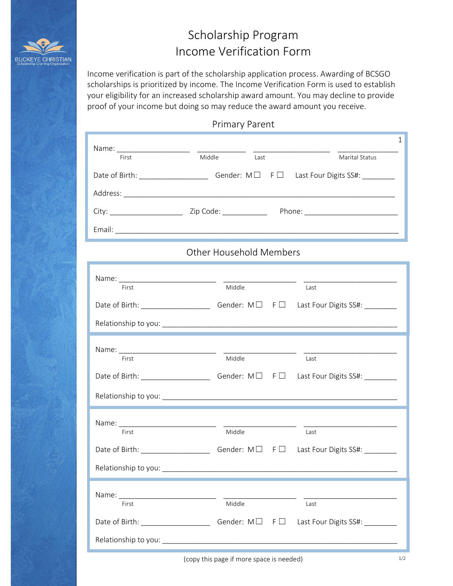

## Scholarship Program Income Verification Form

Income verification is part of the scholarship application process. Awarding of BCSGO scholarships is prioritized by income. The Income Verification Form is used to establish your eligibility for an increased scholarship award amount. You may decline to provide proof of your income but doing so may reduce the award amount you receive.

Primary Parent

| Name: ________________________                                                                                  |        |      |  | 1                                                                                                  |  |  |
|-----------------------------------------------------------------------------------------------------------------|--------|------|--|----------------------------------------------------------------------------------------------------|--|--|
| First                                                                                                           | Middle | Last |  | Marital Status                                                                                     |  |  |
|                                                                                                                 |        |      |  | Date of Birth: _________________________Gender: $M \Box$ F $\Box$ Last Four Digits SS#: __________ |  |  |
|                                                                                                                 |        |      |  |                                                                                                    |  |  |
|                                                                                                                 |        |      |  |                                                                                                    |  |  |
|                                                                                                                 |        |      |  |                                                                                                    |  |  |
| <b>Other Household Members</b>                                                                                  |        |      |  |                                                                                                    |  |  |
|                                                                                                                 |        |      |  |                                                                                                    |  |  |
| First                                                                                                           | Middle |      |  | Last                                                                                               |  |  |
|                                                                                                                 |        |      |  | Date of Birth: ________________________Gender: M□ F□ Last Four Digits SS#: _________               |  |  |
|                                                                                                                 |        |      |  |                                                                                                    |  |  |
|                                                                                                                 |        |      |  |                                                                                                    |  |  |
| First                                                                                                           | Middle |      |  | Last                                                                                               |  |  |
|                                                                                                                 |        |      |  | Date of Birth: _______________________Gender: M□ F□ Last Four Digits SS#: _______                  |  |  |
| Relationship to you: Note that the set of the set of the set of the set of the set of the set of the set of the |        |      |  |                                                                                                    |  |  |
|                                                                                                                 |        |      |  |                                                                                                    |  |  |
| First                                                                                                           | Middle |      |  | Last                                                                                               |  |  |
| Date of Birth: Note of Birth:                                                                                   |        |      |  | Gender: $M \Box$ F $\Box$ Last Four Digits SS#:                                                    |  |  |
| Relationship to you:                                                                                            |        |      |  |                                                                                                    |  |  |
|                                                                                                                 |        |      |  |                                                                                                    |  |  |
| First                                                                                                           | Middle |      |  | Last                                                                                               |  |  |
| Date of Birth: _____________________                                                                            |        |      |  | Gender: M□ F□ Last Four Digits SS#: _______                                                        |  |  |
|                                                                                                                 |        |      |  |                                                                                                    |  |  |